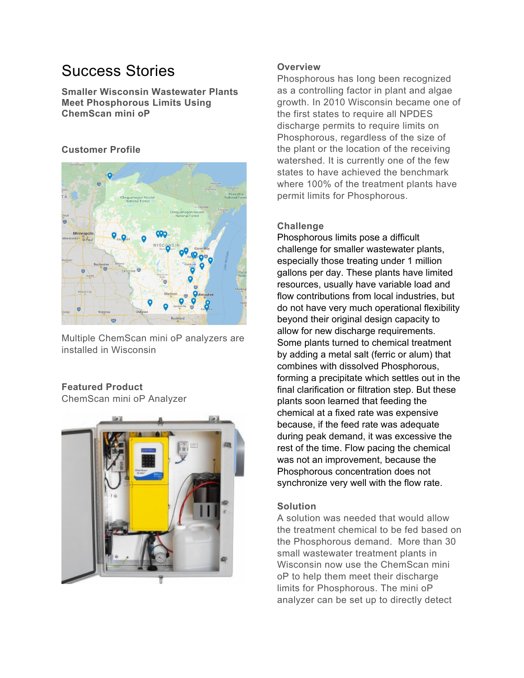# Success Stories

**Smaller Wisconsin Wastewater Plants Meet Phosphorous Limits Using ChemScan mini oP** 

## **Customer Profile**



Multiple ChemScan mini oP analyzers are installed in Wisconsin

# **Featured Product**

ChemScan mini oP Analyzer



# **Overview**

Phosphorous has Iong been recognized as a controlling factor in plant and algae growth. In 2010 Wisconsin became one of the first states to require all NPDES discharge permits to require limits on Phosphorous, regardless of the size of the plant or the location of the receiving watershed. It is currently one of the few states to have achieved the benchmark where 100% of the treatment plants have permit limits for Phosphorous.

## **Challenge**

Phosphorous limits pose a difficult challenge for smaller wastewater plants, especially those treating under 1 million gallons per day. These plants have limited resources, usually have variable load and flow contributions from local industries, but do not have very much operational flexibility beyond their original design capacity to allow for new discharge requirements. Some plants turned to chemical treatment by adding a metal salt (ferric or alum) that combines with dissolved Phosphorous, forming a precipitate which settles out in the final clarification or filtration step. But these plants soon learned that feeding the chemical at a fixed rate was expensive because, if the feed rate was adequate during peak demand, it was excessive the rest of the time. Flow pacing the chemical was not an improvement, because the Phosphorous concentration does not synchronize very well with the flow rate.

## **Solution**

A solution was needed that would allow the treatment chemical to be fed based on the Phosphorous demand. More than 30 small wastewater treatment plants in Wisconsin now use the ChemScan mini oP to help them meet their discharge limits for Phosphorous. The mini oP analyzer can be set up to directly detect